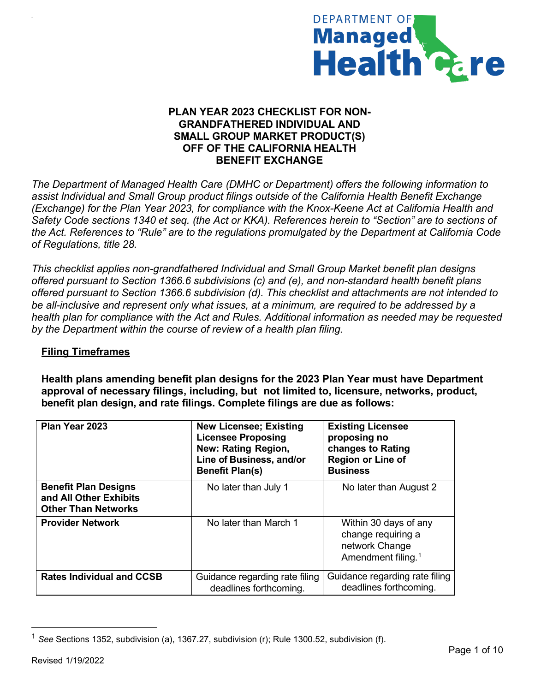

## **PLAN YEAR 2023 CHECKLIST FOR NON-GRANDFATHERED INDIVIDUAL AND SMALL GROUP MARKET PRODUCT(S) OFF OF THE CALIFORNIA HEALTH BENEFIT EXCHANGE**

*The Department of Managed Health Care (DMHC or Department) offers the following information to assist Individual and Small Group product filings outside of the California Health Benefit Exchange (Exchange) for the Plan Year 2023, for compliance with the Knox-Keene Act at California Health and Safety Code sections 1340 et seq. (the Act or KKA). References herein to "Section" are to sections of the Act. References to "Rule" are to the regulations promulgated by the Department at California Code of Regulations, title 28.*

*This checklist applies non-grandfathered Individual and Small Group Market benefit plan designs offered pursuant to Section 1366.6 subdivisions (c) and (e), and non-standard health benefit plans offered pursuant to Section 1366.6 subdivision (d). This checklist and attachments are not intended to be all-inclusive and represent only what issues, at a minimum, are required to be addressed by a health plan for compliance with the Act and Rules. Additional information as needed may be requested by the Department within the course of review of a health plan filing.*

## **Filing Timeframes**

+

**Health plans amending benefit plan designs for the 2023 Plan Year must have Department approval of necessary filings, including, but not limited to, licensure, networks, product, benefit plan design, and rate filings. Complete filings are due as follows:**

| Plan Year 2023                                                                      | <b>New Licensee; Existing</b><br><b>Licensee Proposing</b><br><b>New: Rating Region,</b><br>Line of Business, and/or<br><b>Benefit Plan(s)</b> | <b>Existing Licensee</b><br>proposing no<br>changes to Rating<br>Region or Line of<br><b>Business</b> |
|-------------------------------------------------------------------------------------|------------------------------------------------------------------------------------------------------------------------------------------------|-------------------------------------------------------------------------------------------------------|
| <b>Benefit Plan Designs</b><br>and All Other Exhibits<br><b>Other Than Networks</b> | No later than July 1                                                                                                                           | No later than August 2                                                                                |
| <b>Provider Network</b>                                                             | No later than March 1                                                                                                                          | Within 30 days of any<br>change requiring a<br>network Change<br>Amendment filing. <sup>1</sup>       |
| <b>Rates Individual and CCSB</b>                                                    | Guidance regarding rate filing<br>deadlines forthcoming.                                                                                       | Guidance regarding rate filing<br>deadlines forthcoming.                                              |

<span id="page-0-0"></span><sup>1</sup> *See* Sections 1352, subdivision (a), 1367.27, subdivision (r); Rule 1300.52, subdivision (f).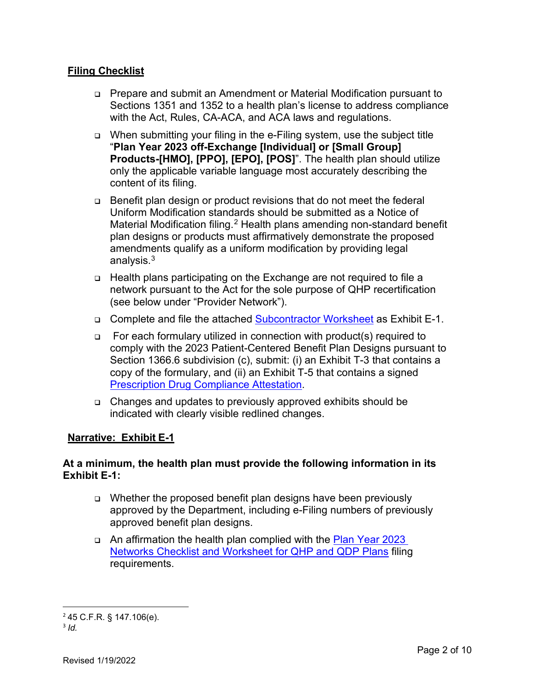## **Filing Checklist**

- Prepare and submit an Amendment or Material Modification pursuant to Sections 1351 and 1352 to a health plan's license to address compliance with the Act, Rules, CA-ACA, and ACA laws and regulations.
- When submitting your filing in the e-Filing system, use the subject title "**Plan Year 2023 off-Exchange [Individual] or [Small Group] Products-[HMO], [PPO], [EPO], [POS]**". The health plan should utilize only the applicable variable language most accurately describing the content of its filing.
- Benefit plan design or product revisions that do not meet the federal Uniform Modification standards should be submitted as a Notice of Material Modification filing.<sup>[2](#page-1-0)</sup> Health plans amending non-standard benefit plan designs or products must affirmatively demonstrate the proposed amendments qualify as a uniform modification by providing legal analysis.<sup>[3](#page-1-1)</sup>
- □ Health plans participating on the Exchange are not required to file a network pursuant to the Act for the sole purpose of QHP recertification (see below under "Provider Network").
- Complete and file the attached [Subcontractor Worksheet](https://dmhc.ca.gov/Portals/0/Docs/OPL/QHP%20Subcontractor%20Worksheet.pdf?ver=2022-01-31-103819-020) as Exhibit E-1.
- For each formulary utilized in connection with product(s) required to comply with the 2023 Patient-Centered Benefit Plan Designs pursuant to Section 1366.6 subdivision (c), submit: (i) an Exhibit T-3 that contains a copy of the formulary, and (ii) an Exhibit T-5 that contains a signed [Prescription Drug Compliance Attestation.](https://dmhc.ca.gov/Portals/0/Docs/OPL/QHP%20Prescription%20Drug%20Attestation.pdf?ver=2022-01-31-103544-553)
- Changes and updates to previously approved exhibits should be indicated with clearly visible redlined changes.

### **Narrative: Exhibit E-1**

### **At a minimum, the health plan must provide the following information in its Exhibit E-1:**

- Whether the proposed benefit plan designs have been previously approved by the Department, including e-Filing numbers of previously approved benefit plan designs.
- □ An affirmation the health plan complied with the Plan Year 2023 [Networks Checklist and Worksheet for QHP and](https://dmhc.ca.gov/Portals/0/Docs/OPL/Plan%20Year%202023%20Networks%20Checklist%20and%20Worksheet%20for%20QHP%20and%20QDP%20Plans.pdf?ver=2022-01-31-104326-053) QDP Plans filing requirements.

<span id="page-1-1"></span><span id="page-1-0"></span><sup>2</sup> 45 C.F.R. § 147.106(e).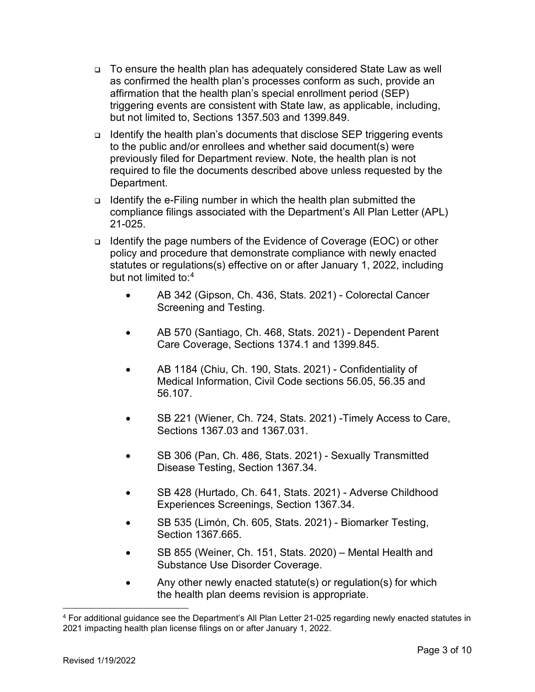- To ensure the health plan has adequately considered State Law as well as confirmed the health plan's processes conform as such, provide an affirmation that the health plan's special enrollment period (SEP) triggering events are consistent with State law, as applicable, including, but not limited to, Sections 1357.503 and 1399.849.
- **□** Identify the health plan's documents that disclose SEP triggering events to the public and/or enrollees and whether said document(s) were previously filed for Department review. Note, the health plan is not required to file the documents described above unless requested by the Department.
- **□** Identify the e-Filing number in which the health plan submitted the compliance filings associated with the Department's All Plan Letter (APL) 21-025.
- Identify the page numbers of the Evidence of Coverage (EOC) or other policy and procedure that demonstrate compliance with newly enacted statutes or regulations(s) effective on or after January 1, 2022, including but not limited to: [4](#page-2-0)
	- AB 342 (Gipson, Ch. 436, Stats. 2021) Colorectal Cancer Screening and Testing.
	- AB 570 (Santiago, Ch. 468, Stats. 2021) Dependent Parent Care Coverage, Sections 1374.1 and 1399.845.
	- AB 1184 (Chiu, Ch. 190, Stats. 2021) Confidentiality of Medical Information, Civil Code sections 56.05, 56.35 and 56.107.
	- SB 221 (Wiener, Ch. 724, Stats. 2021) -Timely Access to Care, Sections 1367.03 and 1367.031.
	- SB 306 (Pan, Ch. 486, Stats. 2021) Sexually Transmitted Disease Testing, Section 1367.34.
	- SB 428 (Hurtado, Ch. 641, Stats. 2021) Adverse Childhood Experiences Screenings, Section 1367.34.
	- SB 535 (Limón, Ch. 605, Stats. 2021) Biomarker Testing, Section 1367.665.
	- SB 855 (Weiner, Ch. 151, Stats. 2020) Mental Health and Substance Use Disorder Coverage.
	- Any other newly enacted statute(s) or regulation(s) for which the health plan deems revision is appropriate.

<span id="page-2-0"></span><sup>4</sup> For additional guidance see the Department's All Plan Letter 21-025 regarding newly enacted statutes in 2021 impacting health plan license filings on or after January 1, 2022.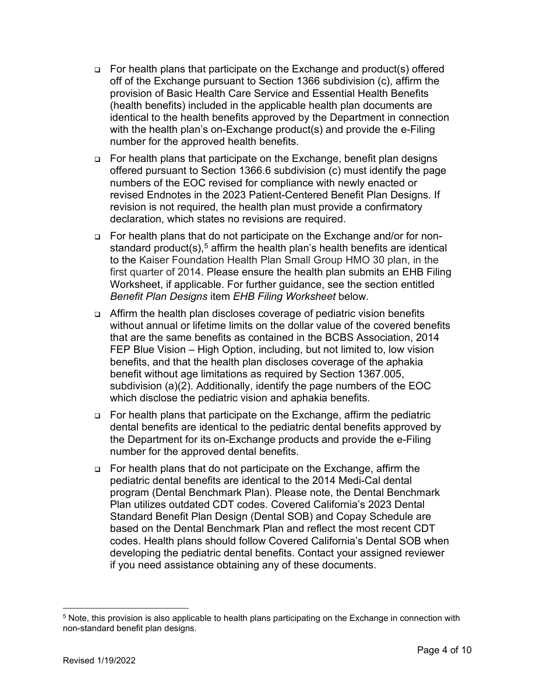- For health plans that participate on the Exchange and product(s) offered off of the Exchange pursuant to Section 1366 subdivision (c), affirm the provision of Basic Health Care Service and Essential Health Benefits (health benefits) included in the applicable health plan documents are identical to the health benefits approved by the Department in connection with the health plan's on-Exchange product(s) and provide the e-Filing number for the approved health benefits.
- For health plans that participate on the Exchange, benefit plan designs offered pursuant to Section 1366.6 subdivision (c) must identify the page numbers of the EOC revised for compliance with newly enacted or revised Endnotes in the 2023 Patient-Centered Benefit Plan Designs. If revision is not required, the health plan must provide a confirmatory declaration, which states no revisions are required.
- For health plans that do not participate on the Exchange and/or for nonstandard product(s), [5](#page-3-0) affirm the health plan's health benefits are identical to the Kaiser Foundation Health Plan Small Group HMO 30 plan, in the first quarter of 2014. Please ensure the health plan submits an EHB Filing Worksheet, if applicable. For further guidance, see the section entitled *Benefit Plan Designs* item *EHB Filing Worksheet* below.
- □ Affirm the health plan discloses coverage of pediatric vision benefits without annual or lifetime limits on the dollar value of the covered benefits that are the same benefits as contained in the BCBS Association, 2014 FEP Blue Vision – High Option, including, but not limited to, low vision benefits, and that the health plan discloses coverage of the aphakia benefit without age limitations as required by Section 1367.005, subdivision (a)(2). Additionally, identify the page numbers of the EOC which disclose the pediatric vision and aphakia benefits.
- For health plans that participate on the Exchange, affirm the pediatric dental benefits are identical to the pediatric dental benefits approved by the Department for its on-Exchange products and provide the e-Filing number for the approved dental benefits.
- For health plans that do not participate on the Exchange, affirm the pediatric dental benefits are identical to the 2014 Medi-Cal dental program (Dental Benchmark Plan). Please note, the Dental Benchmark Plan utilizes outdated CDT codes. Covered California's 2023 Dental Standard Benefit Plan Design (Dental SOB) and Copay Schedule are based on the Dental Benchmark Plan and reflect the most recent CDT codes. Health plans should follow Covered California's Dental SOB when developing the pediatric dental benefits. Contact your assigned reviewer if you need assistance obtaining any of these documents.

<span id="page-3-0"></span><sup>5</sup> Note, this provision is also applicable to health plans participating on the Exchange in connection with non-standard benefit plan designs.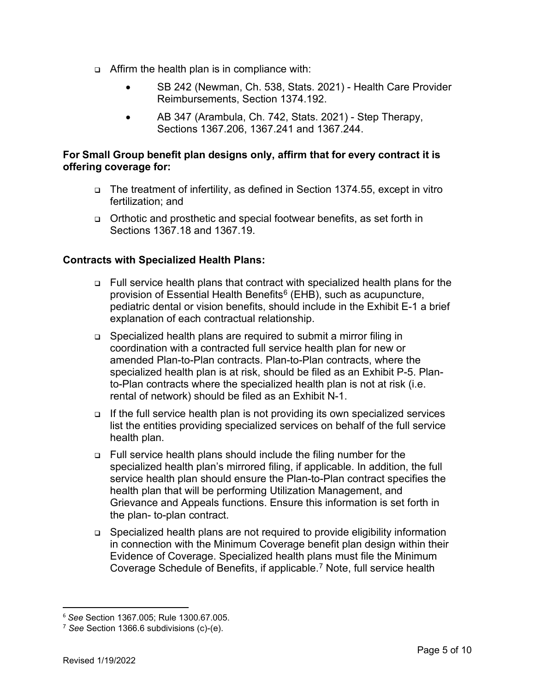- Affirm the health plan is in compliance with:
	- SB 242 (Newman, Ch. 538, Stats. 2021) Health Care Provider Reimbursements, Section 1374.192.
	- AB 347 (Arambula, Ch. 742, Stats. 2021) Step Therapy, Sections 1367.206, 1367.241 and 1367.244.

### **For Small Group benefit plan designs only, affirm that for every contract it is offering coverage for:**

- The treatment of infertility, as defined in Section 1374.55, except in vitro fertilization; and
- Orthotic and prosthetic and special footwear benefits, as set forth in Sections 1367.18 and 1367.19.

## **Contracts with Specialized Health Plans:**

- Full service health plans that contract with specialized health plans for the provision of Essential Health Benefits $6$  (EHB), such as acupuncture, pediatric dental or vision benefits, should include in the Exhibit E-1 a brief explanation of each contractual relationship.
- □ Specialized health plans are required to submit a mirror filing in coordination with a contracted full service health plan for new or amended Plan-to-Plan contracts. Plan-to-Plan contracts, where the specialized health plan is at risk, should be filed as an Exhibit P-5. Planto-Plan contracts where the specialized health plan is not at risk (i.e. rental of network) should be filed as an Exhibit N-1.
- $\Box$  If the full service health plan is not providing its own specialized services list the entities providing specialized services on behalf of the full service health plan.
- Full service health plans should include the filing number for the specialized health plan's mirrored filing, if applicable. In addition, the full service health plan should ensure the Plan-to-Plan contract specifies the health plan that will be performing Utilization Management, and Grievance and Appeals functions. Ensure this information is set forth in the plan- to-plan contract.
- Specialized health plans are not required to provide eligibility information in connection with the Minimum Coverage benefit plan design within their Evidence of Coverage. Specialized health plans must file the Minimum Coverage Schedule of Benefits, if applicable. [7](#page-4-1) Note, full service health

<span id="page-4-0"></span><sup>6</sup> *See* Section 1367.005; Rule 1300.67.005.

<span id="page-4-1"></span><sup>7</sup> *See* Section 1366.6 subdivisions (c)-(e).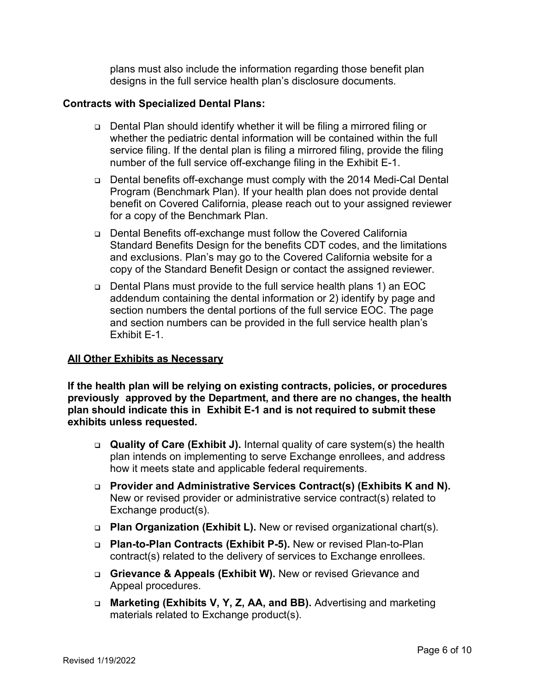plans must also include the information regarding those benefit plan designs in the full service health plan's disclosure documents.

#### **Contracts with Specialized Dental Plans:**

- Dental Plan should identify whether it will be filing a mirrored filing or whether the pediatric dental information will be contained within the full service filing. If the dental plan is filing a mirrored filing, provide the filing number of the full service off-exchange filing in the Exhibit E-1.
- Dental benefits off-exchange must comply with the 2014 Medi-Cal Dental Program (Benchmark Plan). If your health plan does not provide dental benefit on Covered California, please reach out to your assigned reviewer for a copy of the Benchmark Plan.
- Dental Benefits off-exchange must follow the Covered California Standard Benefits Design for the benefits CDT codes, and the limitations and exclusions. Plan's may go to the Covered California website for a copy of the Standard Benefit Design or contact the assigned reviewer.
- Dental Plans must provide to the full service health plans 1) an EOC addendum containing the dental information or 2) identify by page and section numbers the dental portions of the full service EOC. The page and section numbers can be provided in the full service health plan's Exhibit E-1.

#### **All Other Exhibits as Necessary**

**If the health plan will be relying on existing contracts, policies, or procedures previously approved by the Department, and there are no changes, the health plan should indicate this in Exhibit E-1 and is not required to submit these exhibits unless requested.**

- **Quality of Care (Exhibit J).** Internal quality of care system(s) the health plan intends on implementing to serve Exchange enrollees, and address how it meets state and applicable federal requirements.
- **Provider and Administrative Services Contract(s) (Exhibits K and N).** New or revised provider or administrative service contract(s) related to Exchange product(s).
- **Plan Organization (Exhibit L).** New or revised organizational chart(s).
- **Plan-to-Plan Contracts (Exhibit P-5).** New or revised Plan-to-Plan contract(s) related to the delivery of services to Exchange enrollees.
- **Grievance & Appeals (Exhibit W).** New or revised Grievance and Appeal procedures.
- **Marketing (Exhibits V, Y, Z, AA, and BB).** Advertising and marketing materials related to Exchange product(s).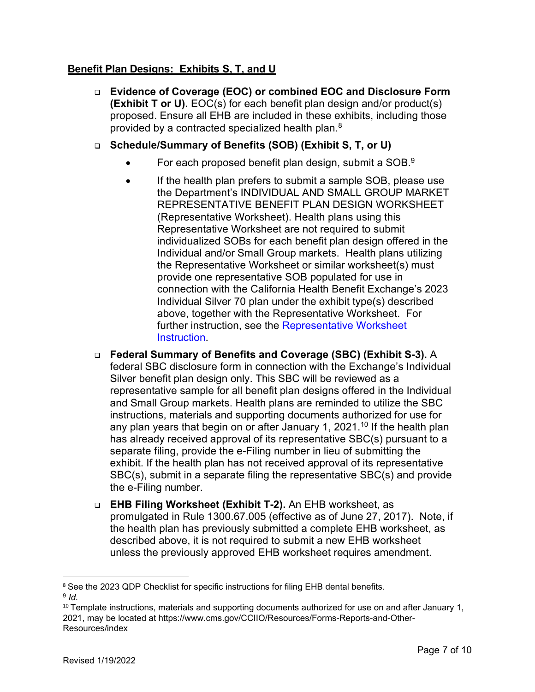## **Benefit Plan Designs: Exhibits S, T, and U**

- **Evidence of Coverage (EOC) or combined EOC and Disclosure Form (Exhibit T or U).** EOC(s) for each benefit plan design and/or product(s) proposed. Ensure all EHB are included in these exhibits, including those provided by a contracted specialized health plan.[8](#page-6-0)
- **Schedule/Summary of Benefits (SOB) (Exhibit S, T, or U)**
	- $\bullet$  For each proposed benefit plan design, submit a SOB.<sup>[9](#page-6-1)</sup>
	- If the health plan prefers to submit a sample SOB, please use the Department's INDIVIDUAL AND SMALL GROUP MARKET REPRESENTATIVE BENEFIT PLAN DESIGN WORKSHEET (Representative Worksheet). Health plans using this Representative Worksheet are not required to submit individualized SOBs for each benefit plan design offered in the Individual and/or Small Group markets. Health plans utilizing the Representative Worksheet or similar worksheet(s) must provide one representative SOB populated for use in connection with the California Health Benefit Exchange's 2023 Individual Silver 70 plan under the exhibit type(s) described above, together with the Representative Worksheet. For further instruction, see the [Representative Worksheet](https://dmhc.ca.gov/Portals/0/Docs/OPL/Instructions%20for%20Individual%20and%20Small%20Group%20Market%20Representative%20Benefit%20Plan%20Design%20Worksheet.pdf?ver=2022-01-31-103335-687) [Instruction.](http://dmhc.ca.gov/Portals/0/Docs/OPL/Instructions%20for%20Individual%20and%20Small%20Group%20Market%20Representative%20Benefit%20Plan%20Design%20Worksheet_1.pdf?ver=2020-02-07-135134-433)
- **Federal Summary of Benefits and Coverage (SBC) (Exhibit S-3).** A federal SBC disclosure form in connection with the Exchange's Individual Silver benefit plan design only. This SBC will be reviewed as a representative sample for all benefit plan designs offered in the Individual and Small Group markets. Health plans are reminded to utilize the SBC instructions, materials and supporting documents authorized for use for any plan years that begin on or after January 1, 2021. [10](#page-6-2) If the health plan has already received approval of its representative SBC(s) pursuant to a separate filing, provide the e-Filing number in lieu of submitting the exhibit. If the health plan has not received approval of its representative SBC(s), submit in a separate filing the representative SBC(s) and provide the e-Filing number.
- **EHB Filing Worksheet (Exhibit T-2).** An EHB worksheet, as promulgated in Rule 1300.67.005 (effective as of June 27, 2017). Note, if the health plan has previously submitted a complete EHB worksheet, as described above, it is not required to submit a new EHB worksheet unless the previously approved EHB worksheet requires amendment.

<span id="page-6-0"></span><sup>&</sup>lt;sup>8</sup> See the 2023 QDP Checklist for specific instructions for filing EHB dental benefits.<br><sup>9</sup> *Id*.

<span id="page-6-2"></span><span id="page-6-1"></span> $10$  Template instructions, materials and supporting documents authorized for use on and after January 1, 2021, may be located at https://www.cms.gov/CCIIO/Resources/Forms-Reports-and-Other-Resources/index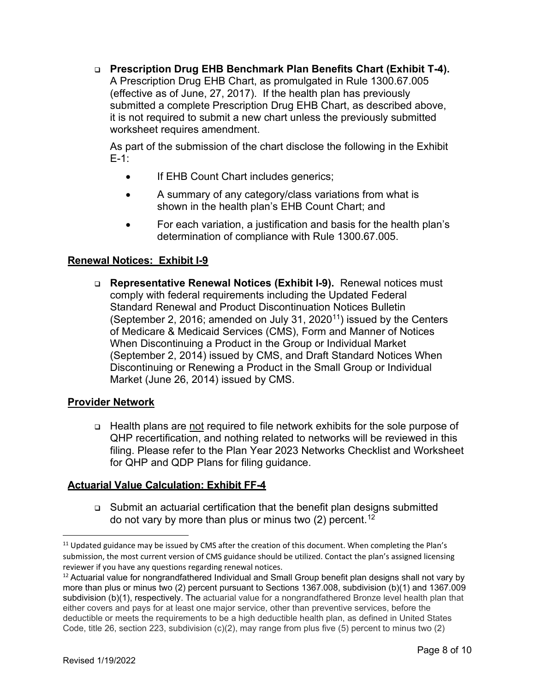**Prescription Drug EHB Benchmark Plan Benefits Chart (Exhibit T-4).** A Prescription Drug EHB Chart, as promulgated in Rule 1300.67.005 (effective as of June, 27, 2017). If the health plan has previously submitted a complete Prescription Drug EHB Chart, as described above, it is not required to submit a new chart unless the previously submitted worksheet requires amendment.

As part of the submission of the chart disclose the following in the Exhibit E-1:

- If EHB Count Chart includes generics;
- A summary of any category/class variations from what is shown in the health plan's EHB Count Chart; and
- For each variation, a justification and basis for the health plan's determination of compliance with Rule 1300.67.005.

## **Renewal Notices: Exhibit I-9**

 **Representative Renewal Notices (Exhibit I-9).** Renewal notices must comply with federal requirements including the Updated Federal Standard Renewal and Product Discontinuation Notices Bulletin (September 2, 2016; amended on July 31, 2020<sup>11</sup>) issued by the Centers of Medicare & Medicaid Services (CMS), Form and Manner of Notices When Discontinuing a Product in the Group or Individual Market (September 2, 2014) issued by CMS, and Draft Standard Notices When Discontinuing or Renewing a Product in the Small Group or Individual Market (June 26, 2014) issued by CMS.

## **Provider Network**

 Health plans are not required to file network exhibits for the sole purpose of QHP recertification, and nothing related to networks will be reviewed in this filing. Please refer to the Plan Year 2023 Networks Checklist and Worksheet for QHP and QDP Plans for filing guidance.

# **Actuarial Value Calculation: Exhibit FF-4**

 Submit an actuarial certification that the benefit plan designs submitted do not vary by more than plus or minus two  $(2)$  percent.<sup>[12](#page-7-1)</sup>

<span id="page-7-0"></span><sup>&</sup>lt;sup>11</sup> Updated guidance may be issued by CMS after the creation of this document. When completing the Plan's submission, the most current version of CMS guidance should be utilized. Contact the plan's assigned licensing reviewer if you have any questions regarding renewal notices.

<span id="page-7-1"></span> $12$  Actuarial value for nongrandfathered Individual and Small Group benefit plan designs shall not vary by more than plus or minus two (2) percent pursuant to Sections 1367.008, subdivision (b)(1) and 1367.009 subdivision (b)(1), respectively. The actuarial value for a nongrandfathered Bronze level health plan that either covers and pays for at least one major service, other than preventive services, before the deductible or meets the requirements to be a high deductible health plan, as defined in United States Code, title 26, section 223, subdivision (c)(2), may range from plus five (5) percent to minus two (2)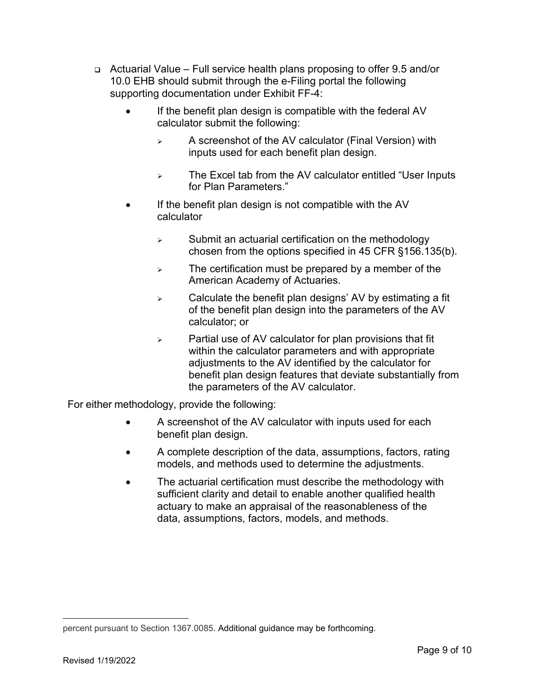- Actuarial Value Full service health plans proposing to offer 9.5 and/or 10.0 EHB should submit through the e-Filing portal the following supporting documentation under Exhibit FF-4:
	- If the benefit plan design is compatible with the federal AV calculator submit the following:
		- $\triangleright$  A screenshot of the AV calculator (Final Version) with inputs used for each benefit plan design.
		- $\triangleright$  The Excel tab from the AV calculator entitled "User Inputs for Plan Parameters."
	- If the benefit plan design is not compatible with the AV calculator
		- $\triangleright$  Submit an actuarial certification on the methodology chosen from the options specified in 45 CFR §156.135(b).
		- $\triangleright$  The certification must be prepared by a member of the American Academy of Actuaries.
		- $\triangleright$  Calculate the benefit plan designs' AV by estimating a fit of the benefit plan design into the parameters of the AV calculator; or
		- $\triangleright$  Partial use of AV calculator for plan provisions that fit within the calculator parameters and with appropriate adjustments to the AV identified by the calculator for benefit plan design features that deviate substantially from the parameters of the AV calculator.

For either methodology, provide the following:

- A screenshot of the AV calculator with inputs used for each benefit plan design.
- A complete description of the data, assumptions, factors, rating models, and methods used to determine the adjustments.
- The actuarial certification must describe the methodology with sufficient clarity and detail to enable another qualified health actuary to make an appraisal of the reasonableness of the data, assumptions, factors, models, and methods.

percent pursuant to Section 1367.0085. Additional guidance may be forthcoming.